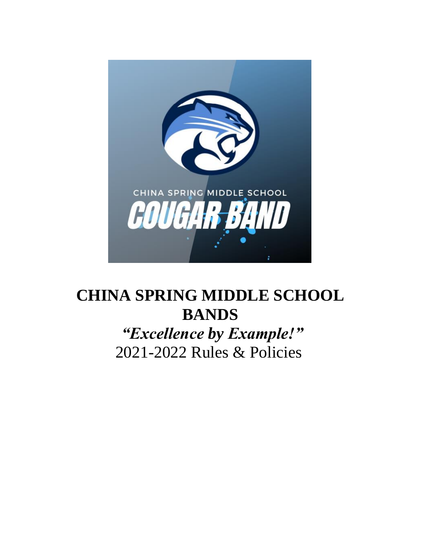

# **CHINA SPRING MIDDLE SCHOOL BANDS** *"Excellence by Example!"*

2021-2022 Rules & Policies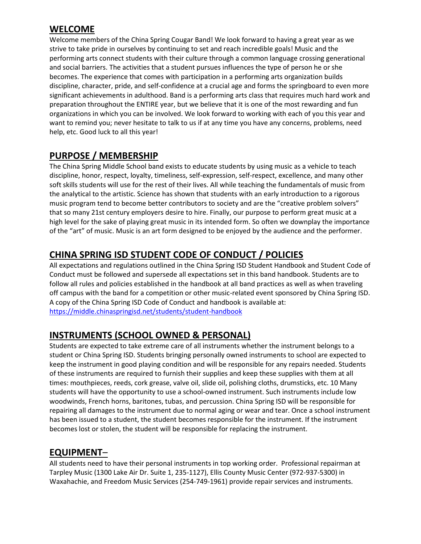## **WELCOME**

Welcome members of the China Spring Cougar Band! We look forward to having a great year as we strive to take pride in ourselves by continuing to set and reach incredible goals! Music and the performing arts connect students with their culture through a common language crossing generational and social barriers. The activities that a student pursues influences the type of person he or she becomes. The experience that comes with participation in a performing arts organization builds discipline, character, pride, and self-confidence at a crucial age and forms the springboard to even more significant achievements in adulthood. Band is a performing arts class that requires much hard work and preparation throughout the ENTIRE year, but we believe that it is one of the most rewarding and fun organizations in which you can be involved. We look forward to working with each of you this year and want to remind you; never hesitate to talk to us if at any time you have any concerns, problems, need help, etc. Good luck to all this year!

## **PURPOSE / MEMBERSHIP**

The China Spring Middle School band exists to educate students by using music as a vehicle to teach discipline, honor, respect, loyalty, timeliness, self-expression, self-respect, excellence, and many other soft skills students will use for the rest of their lives. All while teaching the fundamentals of music from the analytical to the artistic. Science has shown that students with an early introduction to a rigorous music program tend to become better contributors to society and are the "creative problem solvers" that so many 21st century employers desire to hire. Finally, our purpose to perform great music at a high level for the sake of playing great music in its intended form. So often we downplay the importance of the "art" of music. Music is an art form designed to be enjoyed by the audience and the performer.

# **CHINA SPRING ISD STUDENT CODE OF CONDUCT / POLICIES**

All expectations and regulations outlined in the China Spring ISD Student Handbook and Student Code of Conduct must be followed and supersede all expectations set in this band handbook. Students are to follow all rules and policies established in the handbook at all band practices as well as when traveling off campus with the band for a competition or other music-related event sponsored by China Spring ISD. A copy of the China Spring ISD Code of Conduct and handbook is available at: <https://middle.chinaspringisd.net/students/student-handbook>

# **INSTRUMENTS (SCHOOL OWNED & PERSONAL)**

Students are expected to take extreme care of all instruments whether the instrument belongs to a student or China Spring ISD. Students bringing personally owned instruments to school are expected to keep the instrument in good playing condition and will be responsible for any repairs needed. Students of these instruments are required to furnish their supplies and keep these supplies with them at all times: mouthpieces, reeds, cork grease, valve oil, slide oil, polishing cloths, drumsticks, etc. 10 Many students will have the opportunity to use a school-owned instrument. Such instruments include low woodwinds, French horns, baritones, tubas, and percussion. China Spring ISD will be responsible for repairing all damages to the instrument due to normal aging or wear and tear. Once a school instrument has been issued to a student, the student becomes responsible for the instrument. If the instrument becomes lost or stolen, the student will be responsible for replacing the instrument.

#### **EQUIPMENT**–

All students need to have their personal instruments in top working order. Professional repairman at Tarpley Music (1300 Lake Air Dr. Suite 1, 235-1127), Ellis County Music Center (972-937-5300) in Waxahachie, and Freedom Music Services (254-749-1961) provide repair services and instruments.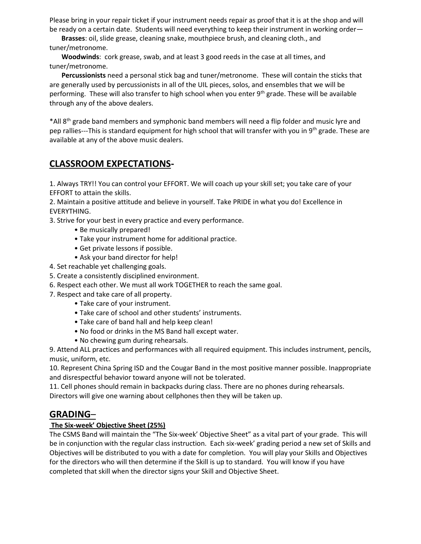Please bring in your repair ticket if your instrument needs repair as proof that it is at the shop and will be ready on a certain date. Students will need everything to keep their instrument in working order—

 **Brasses**: oil, slide grease, cleaning snake, mouthpiece brush, and cleaning cloth., and tuner/metronome.

 **Woodwinds**: cork grease, swab, and at least 3 good reeds in the case at all times, and tuner/metronome.

 **Percussionists** need a personal stick bag and tuner/metronome. These will contain the sticks that are generally used by percussionists in all of the UIL pieces, solos, and ensembles that we will be performing. These will also transfer to high school when you enter 9<sup>th</sup> grade. These will be available through any of the above dealers.

\*All 8th grade band members and symphonic band members will need a flip folder and music lyre and pep rallies---This is standard equipment for high school that will transfer with you in 9<sup>th</sup> grade. These are available at any of the above music dealers.

# **CLASSROOM EXPECTATIONS-**

1. Always TRY!! You can control your EFFORT. We will coach up your skill set; you take care of your EFFORT to attain the skills.

2. Maintain a positive attitude and believe in yourself. Take PRIDE in what you do! Excellence in EVERYTHING.

3. Strive for your best in every practice and every performance.

- Be musically prepared!
- Take your instrument home for additional practice.
- Get private lessons if possible.
- Ask your band director for help!
- 4. Set reachable yet challenging goals.
- 5. Create a consistently disciplined environment.
- 6. Respect each other. We must all work TOGETHER to reach the same goal.
- 7. Respect and take care of all property.
	- Take care of your instrument.
	- Take care of school and other students' instruments.
	- Take care of band hall and help keep clean!
	- No food or drinks in the MS Band hall except water.
	- No chewing gum during rehearsals.

9. Attend ALL practices and performances with all required equipment. This includes instrument, pencils, music, uniform, etc.

10. Represent China Spring ISD and the Cougar Band in the most positive manner possible. Inappropriate and disrespectful behavior toward anyone will not be tolerated.

11. Cell phones should remain in backpacks during class. There are no phones during rehearsals. Directors will give one warning about cellphones then they will be taken up.

#### **GRADING**–

#### **The Six-week' Objective Sheet (25%)**

The CSMS Band will maintain the "The Six-week' Objective Sheet" as a vital part of your grade. This will be in conjunction with the regular class instruction. Each six-week' grading period a new set of Skills and Objectives will be distributed to you with a date for completion. You will play your Skills and Objectives for the directors who will then determine if the Skill is up to standard. You will know if you have completed that skill when the director signs your Skill and Objective Sheet.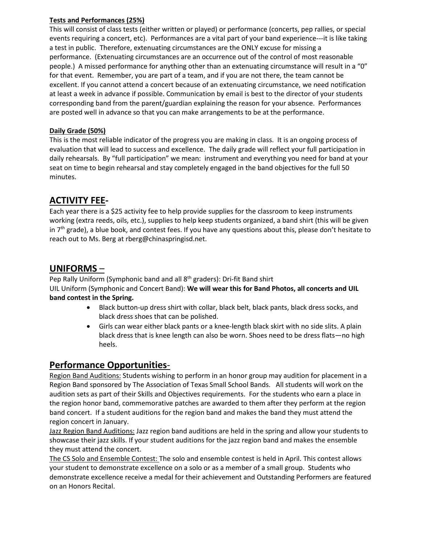#### **Tests and Performances (25%)**

This will consist of class tests (either written or played) or performance (concerts, pep rallies, or special events requiring a concert, etc). Performances are a vital part of your band experience---it is like taking a test in public. Therefore, extenuating circumstances are the ONLY excuse for missing a performance. (Extenuating circumstances are an occurrence out of the control of most reasonable people.) A missed performance for anything other than an extenuating circumstance will result in a "0" for that event. Remember, you are part of a team, and if you are not there, the team cannot be excellent. If you cannot attend a concert because of an extenuating circumstance, we need notification at least a week in advance if possible. Communication by email is best to the director of your students corresponding band from the parent/guardian explaining the reason for your absence. Performances are posted well in advance so that you can make arrangements to be at the performance.

#### **Daily Grade (50%)**

This is the most reliable indicator of the progress you are making in class. It is an ongoing process of evaluation that will lead to success and excellence. The daily grade will reflect your full participation in daily rehearsals. By "full participation" we mean: instrument and everything you need for band at your seat on time to begin rehearsal and stay completely engaged in the band objectives for the full 50 minutes.

## **ACTIVITY FEE-**

Each year there is a \$25 activity fee to help provide supplies for the classroom to keep instruments working (extra reeds, oils, etc.), supplies to help keep students organized, a band shirt (this will be given in  $7<sup>th</sup>$  grade), a blue book, and contest fees. If you have any questions about this, please don't hesitate to reach out to Ms. Berg at rberg@chinaspringisd.net.

#### **UNIFORMS** –

Pep Rally Uniform (Symphonic band and all 8<sup>th</sup> graders): Dri-fit Band shirt UIL Uniform (Symphonic and Concert Band): **We will wear this for Band Photos, all concerts and UIL band contest in the Spring.**

- Black button-up dress shirt with collar, black belt, black pants, black dress socks, and black dress shoes that can be polished.
- Girls can wear either black pants or a knee-length black skirt with no side slits. A plain black dress that is knee length can also be worn. Shoes need to be dress flats—no high heels.

#### **Performance Opportunities**-

Region Band Auditions: Students wishing to perform in an honor group may audition for placement in a Region Band sponsored by The Association of Texas Small School Bands. All students will work on the audition sets as part of their Skills and Objectives requirements. For the students who earn a place in the region honor band, commemorative patches are awarded to them after they perform at the region band concert. If a student auditions for the region band and makes the band they must attend the region concert in January.

Jazz Region Band Auditions: Jazz region band auditions are held in the spring and allow your students to showcase their jazz skills. If your student auditions for the jazz region band and makes the ensemble they must attend the concert.

The CS Solo and Ensemble Contest: The solo and ensemble contest is held in April. This contest allows your student to demonstrate excellence on a solo or as a member of a small group. Students who demonstrate excellence receive a medal for their achievement and Outstanding Performers are featured on an Honors Recital.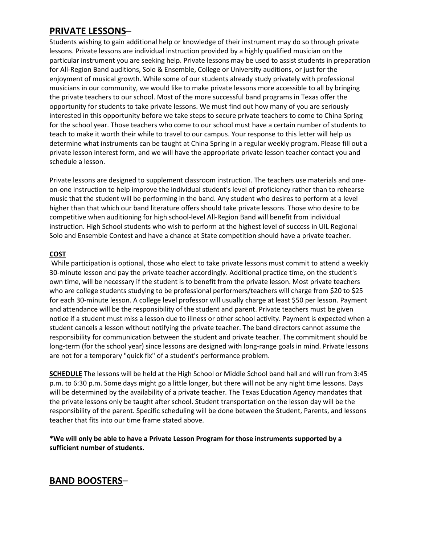#### **PRIVATE LESSONS**–

Students wishing to gain additional help or knowledge of their instrument may do so through private lessons. Private lessons are individual instruction provided by a highly qualified musician on the particular instrument you are seeking help. Private lessons may be used to assist students in preparation for All-Region Band auditions, Solo & Ensemble, College or University auditions, or just for the enjoyment of musical growth. While some of our students already study privately with professional musicians in our community, we would like to make private lessons more accessible to all by bringing the private teachers to our school. Most of the more successful band programs in Texas offer the opportunity for students to take private lessons. We must find out how many of you are seriously interested in this opportunity before we take steps to secure private teachers to come to China Spring for the school year. Those teachers who come to our school must have a certain number of students to teach to make it worth their while to travel to our campus. Your response to this letter will help us determine what instruments can be taught at China Spring in a regular weekly program. Please fill out a private lesson interest form, and we will have the appropriate private lesson teacher contact you and schedule a lesson.

Private lessons are designed to supplement classroom instruction. The teachers use materials and oneon-one instruction to help improve the individual student's level of proficiency rather than to rehearse music that the student will be performing in the band. Any student who desires to perform at a level higher than that which our band literature offers should take private lessons. Those who desire to be competitive when auditioning for high school-level All-Region Band will benefit from individual instruction. High School students who wish to perform at the highest level of success in UIL Regional Solo and Ensemble Contest and have a chance at State competition should have a private teacher.

#### **COST**

While participation is optional, those who elect to take private lessons must commit to attend a weekly 30-minute lesson and pay the private teacher accordingly. Additional practice time, on the student's own time, will be necessary if the student is to benefit from the private lesson. Most private teachers who are college students studying to be professional performers/teachers will charge from \$20 to \$25 for each 30-minute lesson. A college level professor will usually charge at least \$50 per lesson. Payment and attendance will be the responsibility of the student and parent. Private teachers must be given notice if a student must miss a lesson due to illness or other school activity. Payment is expected when a student cancels a lesson without notifying the private teacher. The band directors cannot assume the responsibility for communication between the student and private teacher. The commitment should be long-term (for the school year) since lessons are designed with long-range goals in mind. Private lessons are not for a temporary "quick fix" of a student's performance problem.

**SCHEDULE** The lessons will be held at the High School or Middle School band hall and will run from 3:45 p.m. to 6:30 p.m. Some days might go a little longer, but there will not be any night time lessons. Days will be determined by the availability of a private teacher. The Texas Education Agency mandates that the private lessons only be taught after school. Student transportation on the lesson day will be the responsibility of the parent. Specific scheduling will be done between the Student, Parents, and lessons teacher that fits into our time frame stated above.

**\*We will only be able to have a Private Lesson Program for those instruments supported by a sufficient number of students.**

# **BAND BOOSTERS**–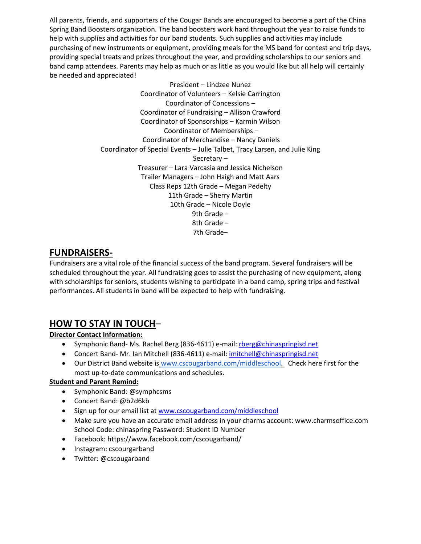All parents, friends, and supporters of the Cougar Bands are encouraged to become a part of the China Spring Band Boosters organization. The band boosters work hard throughout the year to raise funds to help with supplies and activities for our band students. Such supplies and activities may include purchasing of new instruments or equipment, providing meals for the MS band for contest and trip days, providing special treats and prizes throughout the year, and providing scholarships to our seniors and band camp attendees. Parents may help as much or as little as you would like but all help will certainly be needed and appreciated!

> President – Lindzee Nunez Coordinator of Volunteers – Kelsie Carrington Coordinator of Concessions – Coordinator of Fundraising – Allison Crawford Coordinator of Sponsorships – Karmin Wilson Coordinator of Memberships – Coordinator of Merchandise – Nancy Daniels Coordinator of Special Events – Julie Talbet, Tracy Larsen, and Julie King Secretary – Treasurer – Lara Varcasia and Jessica Nichelson Trailer Managers – John Haigh and Matt Aars Class Reps 12th Grade – Megan Pedelty 11th Grade – Sherry Martin 10th Grade – Nicole Doyle 9th Grade – 8th Grade – 7th Grade–

## **FUNDRAISERS-**

Fundraisers are a vital role of the financial success of the band program. Several fundraisers will be scheduled throughout the year. All fundraising goes to assist the purchasing of new equipment, along with scholarships for seniors, students wishing to participate in a band camp, spring trips and festival performances. All students in band will be expected to help with fundraising.

# **HOW TO STAY IN TOUCH**–

#### **Director Contact Information:**

- Symphonic Band- Ms. Rachel Berg (836-4611) e-mail: [rberg@chinaspringisd.net](mailto:rberg@chinaspringisd.net)
- Concert Band- Mr. Ian Mitchell (836-4611) e-mail: [imitchell@chinaspringisd.net](mailto:imitchell@chinaspringisd.net)
- Our District Band website is [www.cscougarband.com/](http://www.cscougarband.com/)middleschool. Check here first for the most up-to-date communications and schedules.

#### **Student and Parent Remind:**

- Symphonic Band: @symphcsms
- Concert Band: @b2d6kb
- Sign up for our email list at [www.cscougarband.com/middleschool](http://www.cscougarband.com/middleschool)
- Make sure you have an accurate email address in your charms account: www.charmsoffice.com School Code: chinaspring Password: Student ID Number
- Facebook: https://www.facebook.com/cscougarband/
- Instagram: cscourgarband
- Twitter: @cscougarband